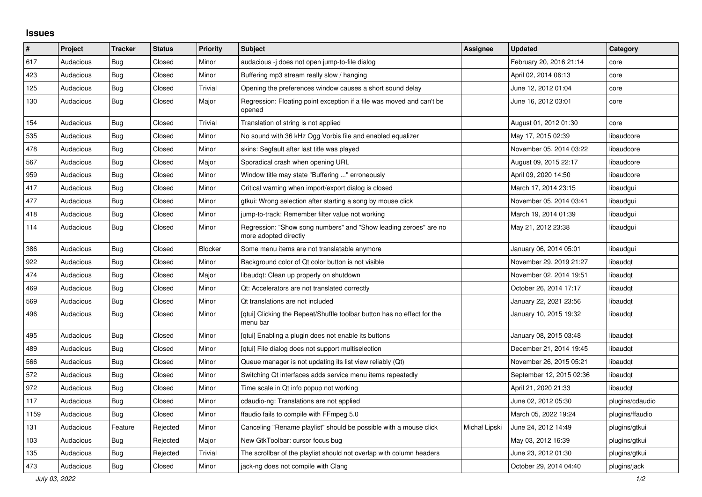## **Issues**

| ∦    | Project   | <b>Tracker</b> | <b>Status</b> | <b>Priority</b> | <b>Subject</b>                                                                            | <b>Assignee</b> | <b>Updated</b>           | Category        |
|------|-----------|----------------|---------------|-----------------|-------------------------------------------------------------------------------------------|-----------------|--------------------------|-----------------|
| 617  | Audacious | Bug            | Closed        | Minor           | audacious -j does not open jump-to-file dialog                                            |                 | February 20, 2016 21:14  | core            |
| 423  | Audacious | Bug            | Closed        | Minor           | Buffering mp3 stream really slow / hanging                                                |                 | April 02, 2014 06:13     | core            |
| 125  | Audacious | Bug            | Closed        | Trivial         | Opening the preferences window causes a short sound delay                                 |                 | June 12, 2012 01:04      | core            |
| 130  | Audacious | Bug            | Closed        | Major           | Regression: Floating point exception if a file was moved and can't be<br>opened           |                 | June 16, 2012 03:01      | core            |
| 154  | Audacious | Bug            | Closed        | Trivial         | Translation of string is not applied                                                      |                 | August 01, 2012 01:30    | core            |
| 535  | Audacious | Bug            | Closed        | Minor           | No sound with 36 kHz Ogg Vorbis file and enabled equalizer                                |                 | May 17, 2015 02:39       | libaudcore      |
| 478  | Audacious | Bug            | Closed        | Minor           | skins: Segfault after last title was played                                               |                 | November 05, 2014 03:22  | libaudcore      |
| 567  | Audacious | Bug            | Closed        | Major           | Sporadical crash when opening URL                                                         |                 | August 09, 2015 22:17    | libaudcore      |
| 959  | Audacious | Bug            | Closed        | Minor           | Window title may state "Buffering " erroneously                                           |                 | April 09, 2020 14:50     | libaudcore      |
| 417  | Audacious | Bug            | Closed        | Minor           | Critical warning when import/export dialog is closed                                      |                 | March 17, 2014 23:15     | libaudgui       |
| 477  | Audacious | Bug            | Closed        | Minor           | gtkui: Wrong selection after starting a song by mouse click                               |                 | November 05, 2014 03:41  | libaudgui       |
| 418  | Audacious | Bug            | Closed        | Minor           | jump-to-track: Remember filter value not working                                          |                 | March 19, 2014 01:39     | libaudgui       |
| 114  | Audacious | Bug            | Closed        | Minor           | Regression: "Show song numbers" and "Show leading zeroes" are no<br>more adopted directly |                 | May 21, 2012 23:38       | libaudgui       |
| 386  | Audacious | Bug            | Closed        | Blocker         | Some menu items are not translatable anymore                                              |                 | January 06, 2014 05:01   | libaudgui       |
| 922  | Audacious | Bug            | Closed        | Minor           | Background color of Qt color button is not visible                                        |                 | November 29, 2019 21:27  | libaudqt        |
| 474  | Audacious | Bug            | Closed        | Major           | libaudgt: Clean up properly on shutdown                                                   |                 | November 02, 2014 19:51  | libaudgt        |
| 469  | Audacious | Bug            | Closed        | Minor           | Qt: Accelerators are not translated correctly                                             |                 | October 26, 2014 17:17   | libaudgt        |
| 569  | Audacious | Bug            | Closed        | Minor           | Qt translations are not included                                                          |                 | January 22, 2021 23:56   | libaudgt        |
| 496  | Audacious | Bug            | Closed        | Minor           | [qtui] Clicking the Repeat/Shuffle toolbar button has no effect for the<br>menu bar       |                 | January 10, 2015 19:32   | libaudgt        |
| 495  | Audacious | Bug            | Closed        | Minor           | [gtui] Enabling a plugin does not enable its buttons                                      |                 | January 08, 2015 03:48   | libaudgt        |
| 489  | Audacious | Bug            | Closed        | Minor           | [qtui] File dialog does not support multiselection                                        |                 | December 21, 2014 19:45  | libaudqt        |
| 566  | Audacious | <b>Bug</b>     | Closed        | Minor           | Queue manager is not updating its list view reliably (Qt)                                 |                 | November 26, 2015 05:21  | libaudgt        |
| 572  | Audacious | Bug            | Closed        | Minor           | Switching Qt interfaces adds service menu items repeatedly                                |                 | September 12, 2015 02:36 | libaudgt        |
| 972  | Audacious | Bug            | Closed        | Minor           | Time scale in Qt info popup not working                                                   |                 | April 21, 2020 21:33     | libaudqt        |
| 117  | Audacious | <b>Bug</b>     | Closed        | Minor           | cdaudio-ng: Translations are not applied                                                  |                 | June 02, 2012 05:30      | plugins/cdaudio |
| 1159 | Audacious | Bug            | Closed        | Minor           | ffaudio fails to compile with FFmpeg 5.0                                                  |                 | March 05, 2022 19:24     | plugins/ffaudio |
| 131  | Audacious | Feature        | Rejected      | Minor           | Canceling "Rename playlist" should be possible with a mouse click                         | Michał Lipski   | June 24, 2012 14:49      | plugins/gtkui   |
| 103  | Audacious | <b>Bug</b>     | Rejected      | Major           | New GtkToolbar: cursor focus bug                                                          |                 | May 03, 2012 16:39       | plugins/gtkui   |
| 135  | Audacious | Bug            | Rejected      | Trivial         | The scrollbar of the playlist should not overlap with column headers                      |                 | June 23, 2012 01:30      | plugins/gtkui   |
| 473  | Audacious | Bug            | Closed        | Minor           | jack-ng does not compile with Clang                                                       |                 | October 29, 2014 04:40   | plugins/jack    |